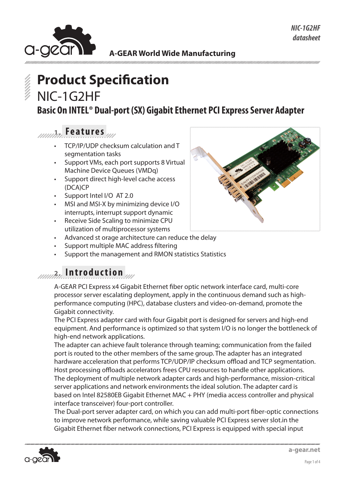

# **Product Specification** NIC-1G2HF

**Basic On INTEL® Dual-port (SX) Gigabit Ethernet PCI Express Server Adapter**

**1. Features**

- TCP/IP/UDP checksum calculation and T segmentation tasks
- Support VMs, each port supports 8 Virtual Machine Device Queues (VMDq)
- Support direct high-level cache access (DCA)CP
- Support Intel I/O AT 2.0
- MSI and MSI-X by minimizing device I/O interrupts, interrupt support dynamic
- Receive Side Scaling to minimize CPU utilization of multiprocessor systems
- Advanced st orage architecture can reduce the delay
- Support multiple MAC address filtering
- Support the management and RMON statistics Statistics

#### **2. Introduction**

A-GEAR PCI Express x4 Gigabit Ethernet fiber optic network interface card, multi-core processor server escalating deployment, apply in the continuous demand such as highperformance computing (HPC), database clusters and video-on-demand, promote the Gigabit connectivity.

The PCI Express adapter card with four Gigabit port is designed for servers and high-end equipment. And performance is optimized so that system I/O is no longer the bottleneck of high-end network applications.

The adapter can achieve fault tolerance through teaming; communication from the failed port is routed to the other members of the same group. The adapter has an integrated hardware acceleration that performs TCP/UDP/IP checksum offload and TCP segmentation. Host processing offloads accelerators frees CPU resources to handle other applications. The deployment of multiple network adapter cards and high-performance, mission-critical server applications and network environments the ideal solution. The adapter card is based on Intel 82580EB Gigabit Ethernet MAC + PHY (media access controller and physical interface transceiver) four-port controller.

The Dual-port server adapter card, on which you can add multi-port fiber-optic connections to improve network performance, while saving valuable PCI Express server slot.in the Gigabit Ethernet fiber network connections, PCI Express is equipped with special input



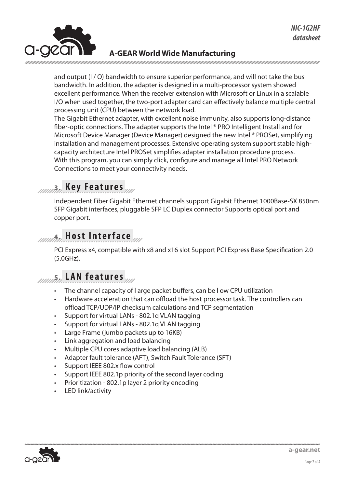

and output (I / O) bandwidth to ensure superior performance, and will not take the bus bandwidth. In addition, the adapter is designed in a multi-processor system showed excellent performance. When the receiver extension with Microsoft or Linux in a scalable I/O when used together, the two-port adapter card can effectively balance multiple central processing unit (CPU) between the network load.

The Gigabit Ethernet adapter, with excellent noise immunity, also supports long-distance fiber-optic connections. The adapter supports the Intel ® PRO Intelligent Install and for Microsoft Device Manager (Device Manager) designed the new Intel ® PROSet, simplifying installation and management processes. Extensive operating system support stable highcapacity architecture Intel PROSet simplifies adapter installation procedure process. With this program, you can simply click, configure and manage all Intel PRO Network Connections to meet your connectivity needs.

### **3. Key Features**

Independent Fiber Gigabit Ethernet channels support Gigabit Ethernet 1000Base-SX 850nm SFP Gigabit interfaces, pluggable SFP LC Duplex connector Supports optical port and copper port.

#### **4. Host Interface**

PCI Express x4, compatible with x8 and x16 slot Support PCI Express Base Specification 2.0 (5.0GHz).

#### **5. LAN features**

- The channel capacity of l arge packet buffers, can be I ow CPU utilization
- Hardware acceleration that can offload the host processor task. The controllers can offload TCP/UDP/IP checksum calculations and TCP segmentation
- Support for virtual LANs 802.1q VLAN tagging
- Support for virtual LANs 802.1q VLAN tagging
- • Large Frame (jumbo packets up to 16KB)
- Link aggregation and load balancing
- Multiple CPU cores adaptive load balancing (ALB)
- Adapter fault tolerance (AFT), Switch Fault Tolerance (SFT)
- Support IEEE 802.x flow control
- Support IEEE 802.1p priority of the second layer coding
- Prioritization 802.1p layer 2 priority encoding
- LED link/activity

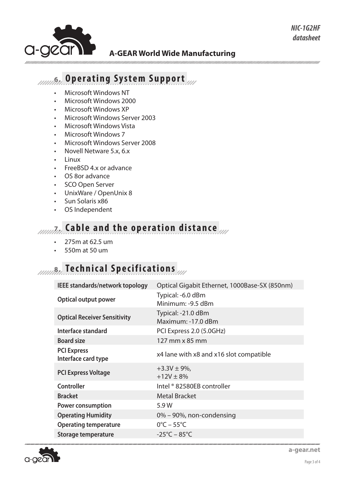

#### **6. Operating System Support**

- • Microsoft Windows NT
- Microsoft Windows 2000
- **Microsoft Windows XP**
- • Microsoft Windows Server 2003
- • Microsoft Windows Vista
- • Microsoft Windows 7
- Microsoft Windows Server 2008
- • Novell Netware 5.x, 6.x
- **Linux**
- FreeBSD 4.x or advance
- • OS 8or advance
- • SCO Open Server
- • UnixWare / OpenUnix 8
- Sun Solaris x86
- • OS Independent

# *AMARIA***</del>** Cable and the operation distance

- 275m at 62.5 um
- 550m at 50 um

## *AMAR* **Technical Specifications**

| IEEE standards/network topology           | Optical Gigabit Ethernet, 1000Base-SX (850nm) |
|-------------------------------------------|-----------------------------------------------|
| <b>Optical output power</b>               | Typical: -6.0 dBm<br>Minimum: -9.5 dBm        |
| <b>Optical Receiver Sensitivity</b>       | Typical: -21.0 dBm<br>Maximum: -17.0 dBm      |
| Interface standard                        | PCI Express 2.0 (5.0GHz)                      |
| <b>Board size</b>                         | 127 mm x 85 mm                                |
| <b>PCI Express</b><br>Interface card type | x4 lane with x8 and x16 slot compatible       |
| <b>PCI Express Voltage</b>                | $+3.3V \pm 9\%$ ,<br>$+12V \pm 8\%$           |
| <b>Controller</b>                         | Intel ® 82580EB controller                    |
| <b>Bracket</b>                            | <b>Metal Bracket</b>                          |
| <b>Power consumption</b>                  | 5.9W                                          |
| <b>Operating Humidity</b>                 | 0% – 90%, non-condensing                      |
| <b>Operating temperature</b>              | $0^{\circ}$ C – 55 $^{\circ}$ C               |
| Storage temperature                       | $-25^{\circ}$ C – 85 $^{\circ}$ C             |



*NIC-1G2HF datasheet*